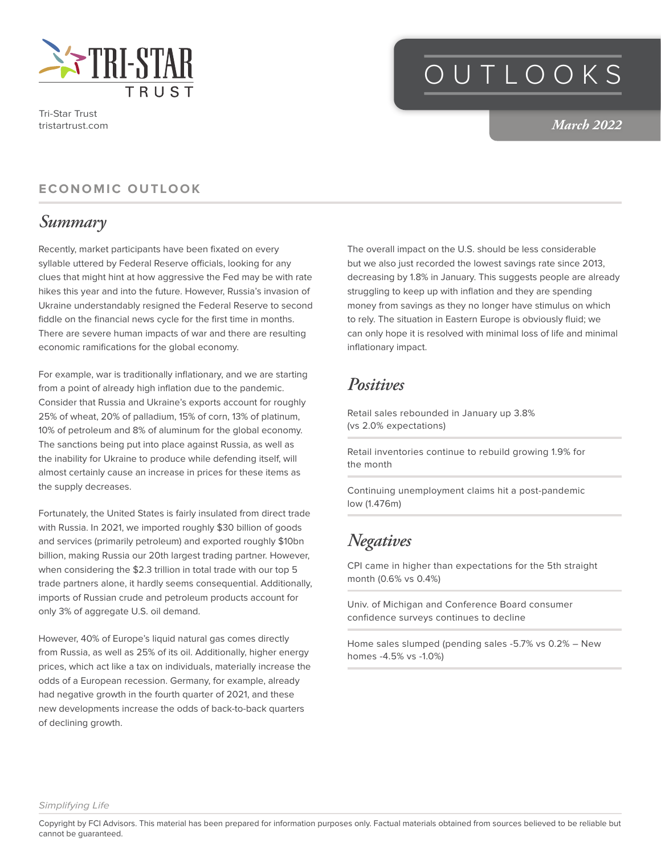

Tri-Star Trust tristartrust.com

# OUTLOOKS

*March 2022*

#### **ECONOMIC OUTLOOK**

### *Summary*

Recently, market participants have been fixated on every syllable uttered by Federal Reserve officials, looking for any clues that might hint at how aggressive the Fed may be with rate hikes this year and into the future. However, Russia's invasion of Ukraine understandably resigned the Federal Reserve to second fiddle on the financial news cycle for the first time in months. There are severe human impacts of war and there are resulting economic ramifications for the global economy.

For example, war is traditionally inflationary, and we are starting from a point of already high inflation due to the pandemic. Consider that Russia and Ukraine's exports account for roughly 25% of wheat, 20% of palladium, 15% of corn, 13% of platinum, 10% of petroleum and 8% of aluminum for the global economy. The sanctions being put into place against Russia, as well as the inability for Ukraine to produce while defending itself, will almost certainly cause an increase in prices for these items as the supply decreases.

Fortunately, the United States is fairly insulated from direct trade with Russia. In 2021, we imported roughly \$30 billion of goods and services (primarily petroleum) and exported roughly \$10bn billion, making Russia our 20th largest trading partner. However, when considering the \$2.3 trillion in total trade with our top 5 trade partners alone, it hardly seems consequential. Additionally, imports of Russian crude and petroleum products account for only 3% of aggregate U.S. oil demand.

However, 40% of Europe's liquid natural gas comes directly from Russia, as well as 25% of its oil. Additionally, higher energy prices, which act like a tax on individuals, materially increase the odds of a European recession. Germany, for example, already had negative growth in the fourth quarter of 2021, and these new developments increase the odds of back-to-back quarters of declining growth.

The overall impact on the U.S. should be less considerable but we also just recorded the lowest savings rate since 2013, decreasing by 1.8% in January. This suggests people are already struggling to keep up with inflation and they are spending money from savings as they no longer have stimulus on which to rely. The situation in Eastern Europe is obviously fluid; we can only hope it is resolved with minimal loss of life and minimal inflationary impact.

### *Positives*

Retail sales rebounded in January up 3.8% (vs 2.0% expectations)

Retail inventories continue to rebuild growing 1.9% for the month

Continuing unemployment claims hit a post-pandemic low (1.476m)

### *Negatives*

CPI came in higher than expectations for the 5th straight month (0.6% vs 0.4%)

Univ. of Michigan and Conference Board consumer confidence surveys continues to decline

Home sales slumped (pending sales -5.7% vs 0.2% – New homes -4.5% vs -1.0%)

*Simplifying Life*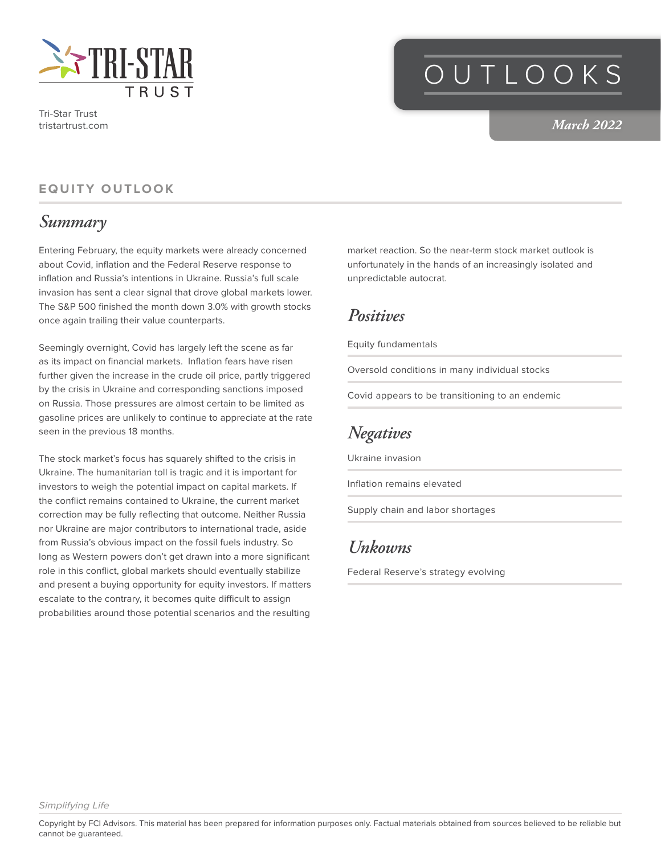

Tri-Star Trust tristartrust.com

## OUTLOOKS

#### *March 2022*

#### **EQUITY OUTLOOK**

#### *Summary*

Entering February, the equity markets were already concerned about Covid, inflation and the Federal Reserve response to inflation and Russia's intentions in Ukraine. Russia's full scale invasion has sent a clear signal that drove global markets lower. The S&P 500 finished the month down 3.0% with growth stocks once again trailing their value counterparts.

Seemingly overnight, Covid has largely left the scene as far as its impact on financial markets. Inflation fears have risen further given the increase in the crude oil price, partly triggered by the crisis in Ukraine and corresponding sanctions imposed on Russia. Those pressures are almost certain to be limited as gasoline prices are unlikely to continue to appreciate at the rate seen in the previous 18 months.

The stock market's focus has squarely shifted to the crisis in Ukraine. The humanitarian toll is tragic and it is important for investors to weigh the potential impact on capital markets. If the conflict remains contained to Ukraine, the current market correction may be fully reflecting that outcome. Neither Russia nor Ukraine are major contributors to international trade, aside from Russia's obvious impact on the fossil fuels industry. So long as Western powers don't get drawn into a more significant role in this conflict, global markets should eventually stabilize and present a buying opportunity for equity investors. If matters escalate to the contrary, it becomes quite difficult to assign probabilities around those potential scenarios and the resulting

market reaction. So the near-term stock market outlook is unfortunately in the hands of an increasingly isolated and unpredictable autocrat.

#### *Positives*

Equity fundamentals

Oversold conditions in many individual stocks

Covid appears to be transitioning to an endemic

## *Negatives*

Ukraine invasion

Inflation remains elevated

Supply chain and labor shortages

### *Unkowns*

Federal Reserve's strategy evolving

Copyright by FCI Advisors. This material has been prepared for information purposes only. Factual materials obtained from sources believed to be reliable but cannot be guaranteed.